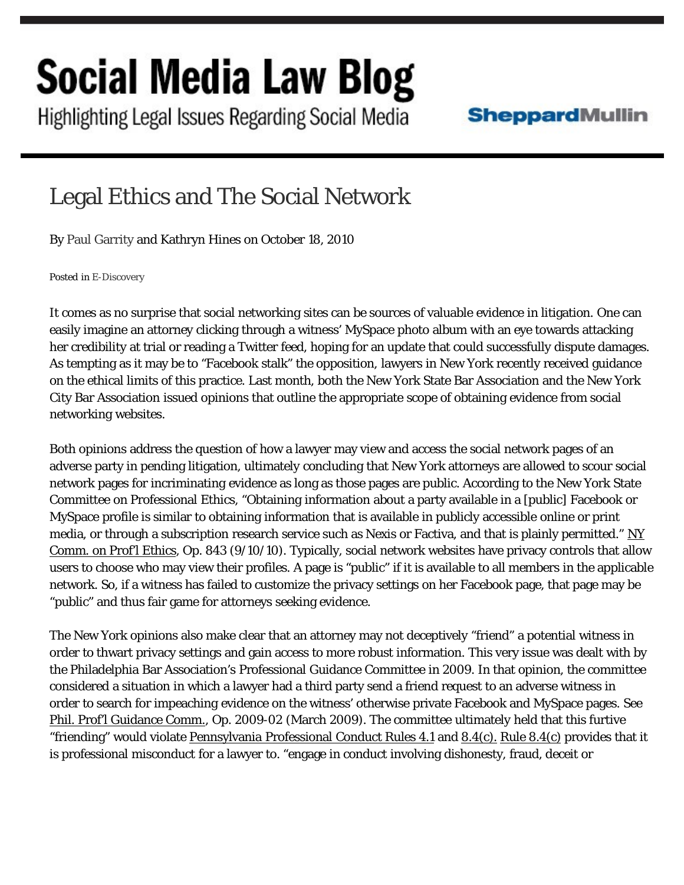## Social Media Law Blog

Highlighting Legal Issues Regarding Social Media

## **SheppardMullin**

## Legal Ethics and The Social Network

By Paul [Garrity](http://www.sheppardmullin.com/pgarrity) and Kathryn Hines on October 18, 2010

Posted in [E-Discovery](http://www.socialmedialawupdate.com/articles/e-discovery/)

It comes as no surprise that social networking sites can be sources of valuable evidence in litigation. One can easily imagine an attorney clicking through a witness' MySpace photo album with an eye towards attacking her credibility at trial or reading a Twitter feed, hoping for an update that could successfully dispute damages. As tempting as it may be to "Facebook stalk" the opposition, lawyers in New York recently received guidance on the ethical limits of this practice. Last month, both the New York State Bar Association and the New York City Bar Association issued opinions that outline the appropriate scope of obtaining evidence from social networking websites.

Both opinions address the question of how a lawyer may view and access the social network pages of an adverse party in pending litigation, ultimately concluding that New York attorneys are allowed to scour social network pages for incriminating evidence as long as those pages are public. According to the New York State Committee on Professional Ethics, "Obtaining information about a party available in a [public] Facebook or MySpace profile is similar to obtaining information that is available in publicly accessible online or print media, or through a subscription research service such as Nexis or Factiva, and that is plainly permitted."  $NY$ Comm. on Prof'l Ethics, Op. 843 (9/10/10). Typically, social network websites have privacy controls that allow users to choose who may view their profiles. A page is "public" if it is available to all members in the applicable network. So, if a witness has failed to customize the privacy settings on her Facebook page, that page may be "public" and thus fair game for attorneys seeking evidence.

The New York opinions also make clear that an attorney may not deceptively "friend" a potential witness in order to thwart privacy settings and gain access to more robust information. This very issue was dealt with by the Philadelphia Bar Association's Professional Guidance Committee in 2009. In that opinion, the committee considered a situation in which a lawyer had a third party send a friend request to an adverse witness in order to search for impeaching evidence on the witness' otherwise private Facebook and MySpace pages. See Phil. Prof'l Guidance Comm., Op. 2009-02 (March 2009). The committee ultimately held that this furtive "friending" would violate Pennsylvania Professional Conduct Rules 4.1 and 8.4(c). Rule 8.4(c) provides that it is professional misconduct for a lawyer to. "engage in conduct involving dishonesty, fraud, deceit or